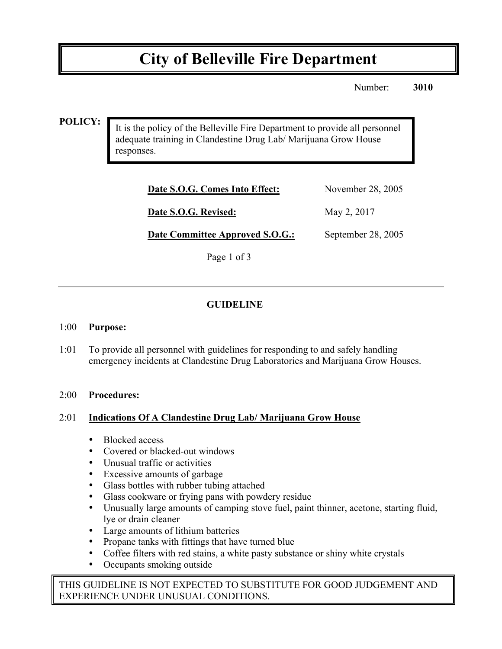# **City of Belleville Fire Department**

Number: **3010**

#### **POLICY:**

It is the policy of the Belleville Fire Department to provide all personnel adequate training in Clandestine Drug Lab/ Marijuana Grow House responses.

| Date S.O.G. Comes Into Effect: | November 28, 2005 |
|--------------------------------|-------------------|
| Date S.O.G. Revised:           | May 2, 2017       |

**Date Committee Approved S.O.G.:** September 28, 2005

Page 1 of 3

# **GUIDELINE**

#### 1:00 **Purpose:**

1:01 To provide all personnel with guidelines for responding to and safely handling emergency incidents at Clandestine Drug Laboratories and Marijuana Grow Houses.

#### 2:00 **Procedures:**

#### 2:01 **Indications Of A Clandestine Drug Lab/ Marijuana Grow House**

- Blocked access
- Covered or blacked-out windows
- Unusual traffic or activities
- Excessive amounts of garbage
- Glass bottles with rubber tubing attached
- Glass cookware or frying pans with powdery residue
- Unusually large amounts of camping stove fuel, paint thinner, acetone, starting fluid, lye or drain cleaner
- Large amounts of lithium batteries
- Propane tanks with fittings that have turned blue
- Coffee filters with red stains, a white pasty substance or shiny white crystals
- Occupants smoking outside

THIS GUIDELINE IS NOT EXPECTED TO SUBSTITUTE FOR GOOD JUDGEMENT AND EXPERIENCE UNDER UNUSUAL CONDITIONS.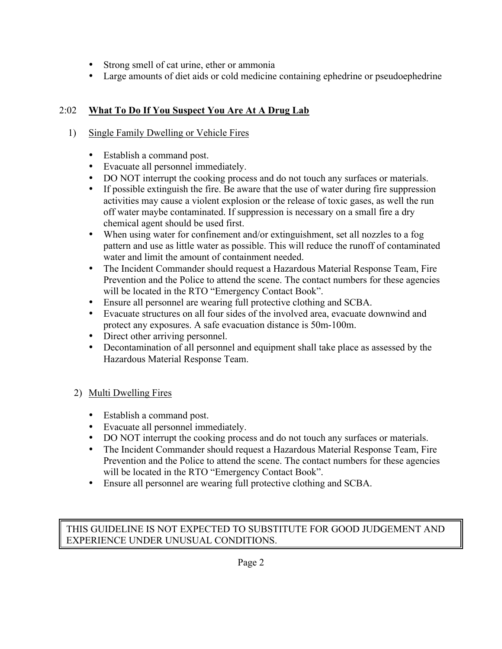- Strong smell of cat urine, ether or ammonia
- Large amounts of diet aids or cold medicine containing ephedrine or pseudoephedrine

# 2:02 **What To Do If You Suspect You Are At A Drug Lab**

### 1) Single Family Dwelling or Vehicle Fires

- Establish a command post.
- Evacuate all personnel immediately.
- DO NOT interrupt the cooking process and do not touch any surfaces or materials.
- If possible extinguish the fire. Be aware that the use of water during fire suppression activities may cause a violent explosion or the release of toxic gases, as well the run off water maybe contaminated. If suppression is necessary on a small fire a dry chemical agent should be used first.
- When using water for confinement and/or extinguishment, set all nozzles to a fog pattern and use as little water as possible. This will reduce the runoff of contaminated water and limit the amount of containment needed.
- The Incident Commander should request a Hazardous Material Response Team, Fire Prevention and the Police to attend the scene. The contact numbers for these agencies will be located in the RTO "Emergency Contact Book".
- Ensure all personnel are wearing full protective clothing and SCBA.
- Evacuate structures on all four sides of the involved area, evacuate downwind and protect any exposures. A safe evacuation distance is 50m-100m.
- Direct other arriving personnel.
- Decontamination of all personnel and equipment shall take place as assessed by the Hazardous Material Response Team.

## 2) Multi Dwelling Fires

- Establish a command post.
- Evacuate all personnel immediately.
- DO NOT interrupt the cooking process and do not touch any surfaces or materials.
- The Incident Commander should request a Hazardous Material Response Team, Fire Prevention and the Police to attend the scene. The contact numbers for these agencies will be located in the RTO "Emergency Contact Book".
- Ensure all personnel are wearing full protective clothing and SCBA.

THIS GUIDELINE IS NOT EXPECTED TO SUBSTITUTE FOR GOOD JUDGEMENT AND EXPERIENCE UNDER UNUSUAL CONDITIONS.